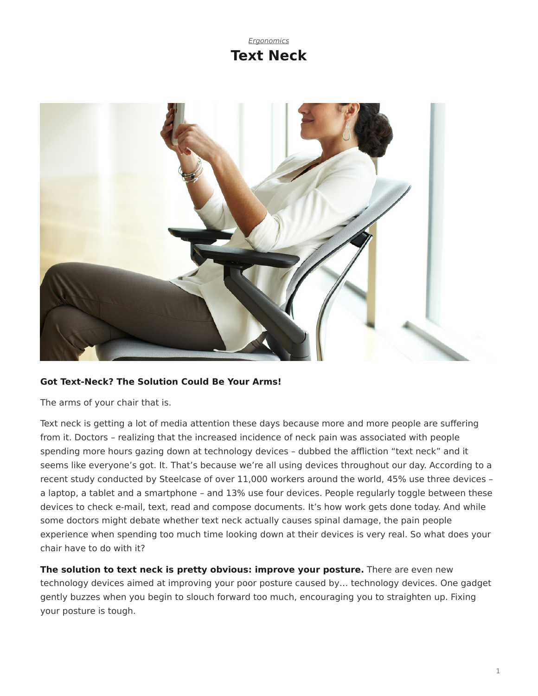# *[Ergonomics](https://www.steelcase.com/research/topics/ergonomics/)* **Text Neck**

<span id="page-0-0"></span>

### **Got Text-Neck? The Solution Could Be Your Arms!**

The arms of your chair that is.

Text neck is getting a lot of media attention these days because more and more people are suffering from it. Doctors – realizing that the increased incidence of neck pain was associated with people spending more hours gazing down at technology devices – dubbed the affliction "text neck" and it seems like everyone's got. It. That's because we're all using devices throughout our day. According to a recent study conducted by Steelcase of over 11,000 workers around the world, 45% use three devices – a laptop, a tablet and a smartphone – and 13% use four devices. People regularly toggle between these devices to check e-mail, text, read and compose documents. It's how work gets done today. And while some doctors might debate whether text neck actually causes spinal damage, the pain people experience when spending too much time looking down at their devices is very real. So what does your chair have to do with it?

**The solution to text neck is pretty obvious: improve your posture.** There are even new technology devices aimed at improving your poor posture caused by… technology devices. One gadget gently buzzes when you begin to slouch forward too much, encouraging you to straighten up. Fixing your posture is tough.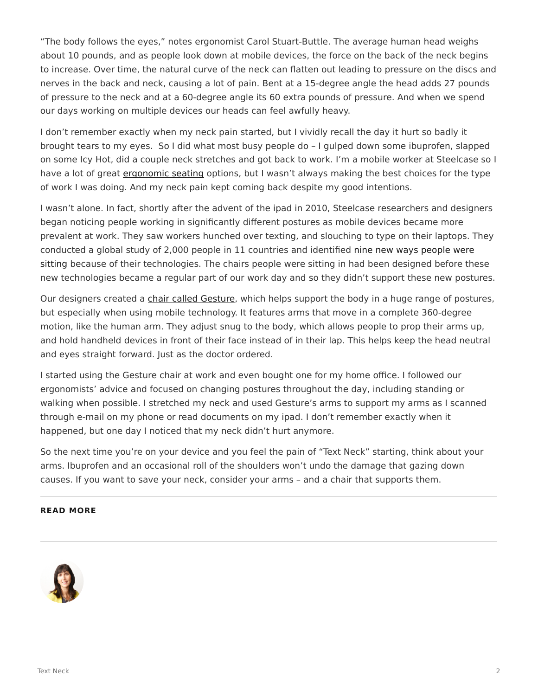"The body follows the eyes," notes ergonomist Carol Stuart-Buttle. The average human head weighs about 10 pounds, and as people look down at mobile devices, the force on the back of the neck begins to increase. Over time, the natural curve of the neck can flatten out leading to pressure on the discs and nerves in the back and neck, causing a lot of pain. Bent at a 15-degree angle the head adds 27 pounds of pressure to the neck and at a 60-degree angle its 60 extra pounds of pressure. And when we spend our days working on multiple devices our heads can feel awfully heavy.

I don't remember exactly when my neck pain started, but I vividly recall the day it hurt so badly it brought tears to my eyes. So I did what most busy people do – I gulped down some ibuprofen, slapped on some Icy Hot, did a couple neck stretches and got back to work. I'm a mobile worker at Steelcase so I have a lot of great [ergonomic seating](https://www.steelcase.com/products/office-chairs/) options, but I wasn't always making the best choices for the type of work I was doing. And my neck pain kept coming back despite my good intentions.

I wasn't alone. In fact, shortly after the advent of the ipad in 2010, Steelcase researchers and designers began noticing people working in significantly different postures as mobile devices became more prevalent at work. They saw workers hunched over texting, and slouching to type on their laptops. They conducted a global study of 2,000 people in 11 countries and identified [nine new ways people were](https://www.steelcase.com/resources/documents/global-posture-study/) [sitting](https://www.steelcase.com/resources/documents/global-posture-study/) because of their technologies. The chairs people were sitting in had been designed before these new technologies became a regular part of our work day and so they didn't support these new postures.

Our designers created a [chair called Gesture](https://www.steelcase.com/products/office-chairs/gesture/), which helps support the body in a huge range of postures, but especially when using mobile technology. It features arms that move in a complete 360-degree motion, like the human arm. They adjust snug to the body, which allows people to prop their arms up, and hold handheld devices in front of their face instead of in their lap. This helps keep the head neutral and eyes straight forward. Just as the doctor ordered.

I started using the Gesture chair at work and even bought one for my home office. I followed our ergonomists' advice and focused on changing postures throughout the day, including standing or walking when possible. I stretched my neck and used Gesture's arms to support my arms as I scanned through e-mail on my phone or read documents on my ipad. I don't remember exactly when it happened, but one day I noticed that my neck didn't hurt anymore.

So the next time you're on your device and you feel the pain of "Text Neck" starting, think about your arms. Ibuprofen and an occasional roll of the shoulders won't undo the damage that gazing down causes. If you want to save your neck, consider your arms – and a chair that supports them.

#### **READ MORE**

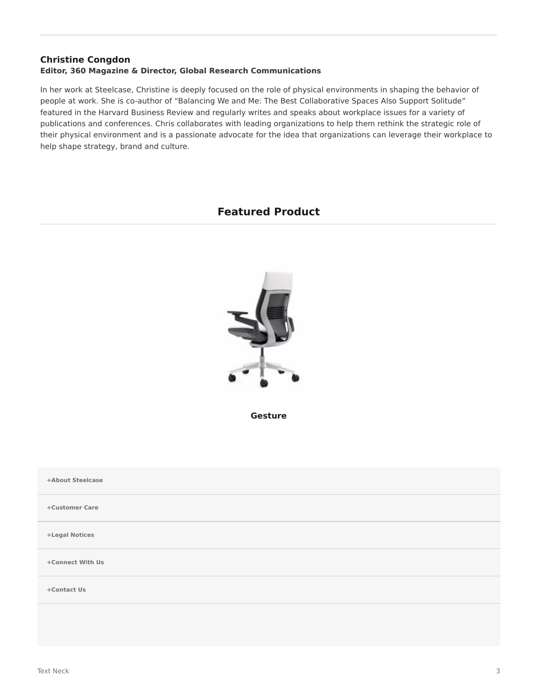#### **[Christine Congdon](https://www.steelcase.com/research/articles/author/christine-congdon/) Editor, 360 Magazine & Director, Global Research Communications**

In her work at Steelcase, Christine is deeply focused on the role of physical environments in shaping the behavior of people at work. She is co-author of "Balancing We and Me: The Best Collaborative Spaces Also Support Solitude" featured in the Harvard Business Review and regularly writes and speaks about workplace issues for a variety of publications and conferences. Chris collaborates with leading organizations to help them rethink the strategic role of their physical environment and is a passionate advocate for the idea that organizations can leverage their workplace to help shape strategy, brand and culture.

## **Featured Product**



**[Gesture](https://www.steelcase.com/products/office-chairs/gesture/)**